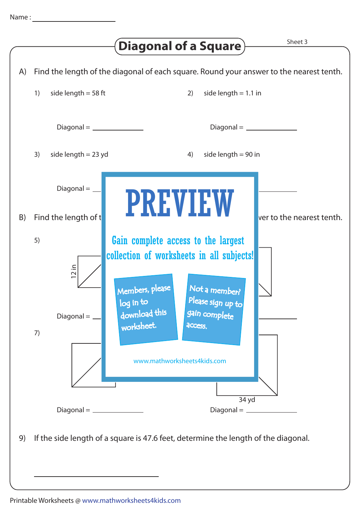